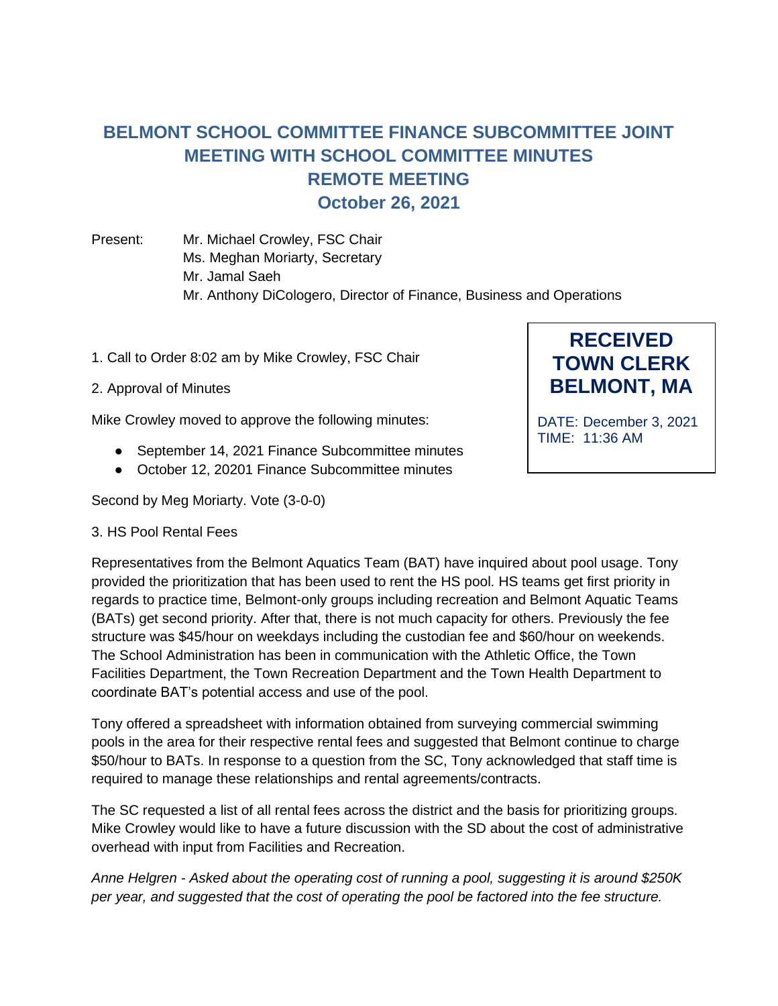## **BELMONT SCHOOL COMMITTEE FINANCE SUBCOMMITTEE JOINT MEETING WITH SCHOOL COMMITTEE MINUTES REMOTE MEETING October 26, 2021**

Present: Mr. Michael Crowley, FSC Chair Ms. Meghan Moriarty, Secretary Mr. Jamal Saeh Mr. Anthony DiCologero, Director of Finance, Business and Operations

- 1. Call to Order 8:02 am by Mike Crowley, FSC Chair
- 2. Approval of Minutes

Mike Crowley moved to approve the following minutes:

- September 14, 2021 Finance Subcommittee minutes
- October 12, 20201 Finance Subcommittee minutes

Second by Meg Moriarty. Vote (3-0-0)

## 3. HS Pool Rental Fees

Representatives from the Belmont Aquatics Team (BAT) have inquired about pool usage. Tony provided the prioritization that has been used to rent the HS pool. HS teams get first priority in regards to practice time, Belmont-only groups including recreation and Belmont Aquatic Teams (BATs) get second priority. After that, there is not much capacity for others. Previously the fee structure was \$45/hour on weekdays including the custodian fee and \$60/hour on weekends. The School Administration has been in communication with the Athletic Office, the Town Facilities Department, the Town Recreation Department and the Town Health Department to coordinate BAT's potential access and use of the pool.

Tony offered a spreadsheet with information obtained from surveying commercial swimming pools in the area for their respective rental fees and suggested that Belmont continue to charge \$50/hour to BATs. In response to a question from the SC, Tony acknowledged that staff time is required to manage these relationships and rental agreements/contracts.

The SC requested a list of all rental fees across the district and the basis for prioritizing groups. Mike Crowley would like to have a future discussion with the SD about the cost of administrative overhead with input from Facilities and Recreation.

*Anne Helgren - Asked about the operating cost of running a pool, suggesting it is around \$250K per year, and suggested that the cost of operating the pool be factored into the fee structure.*

**TOWN CLERK BELMONT, MA**

**RECEIVED**

DATE: December 3, 2021 TIME: 11:36 AM